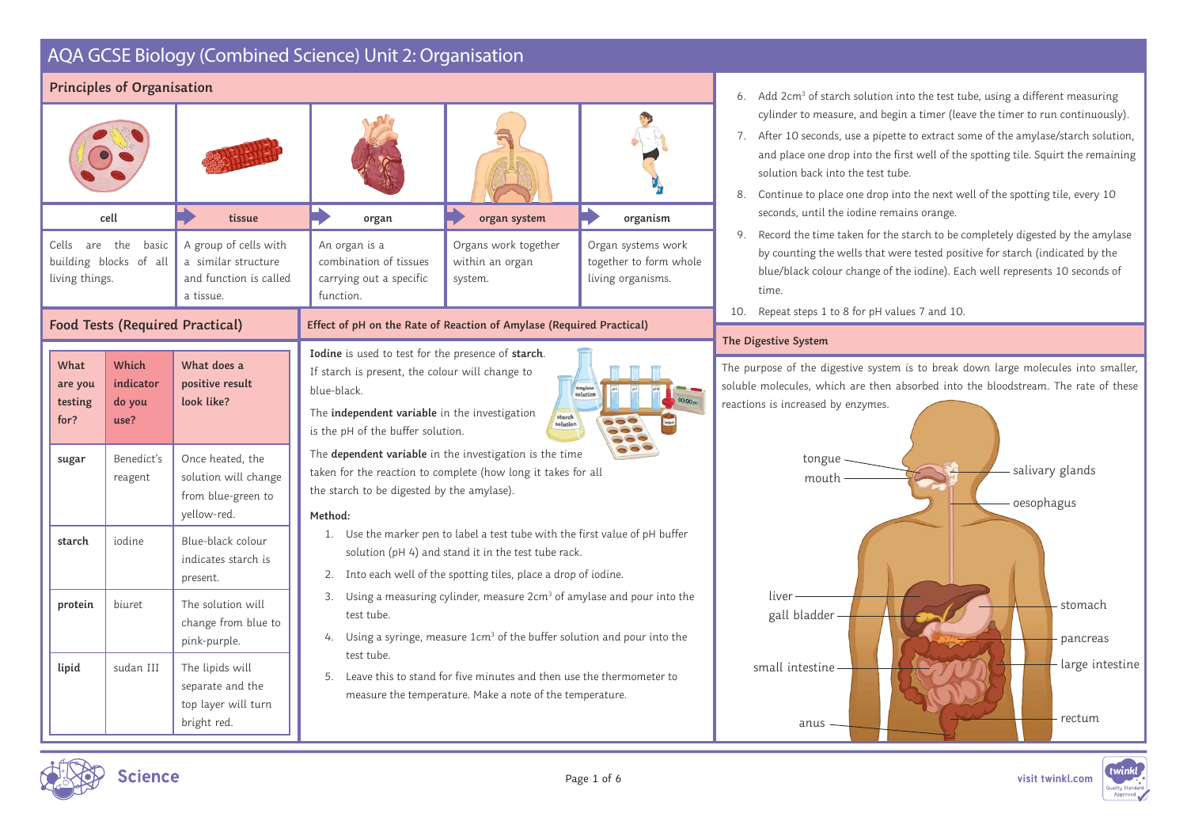|                                    | <b>Principles of Organisation</b>                |                                                                                     |                                                                                                                                                                                                            |                                                                                                                                                                                                         |                                                                   | 6.                                    |
|------------------------------------|--------------------------------------------------|-------------------------------------------------------------------------------------|------------------------------------------------------------------------------------------------------------------------------------------------------------------------------------------------------------|---------------------------------------------------------------------------------------------------------------------------------------------------------------------------------------------------------|-------------------------------------------------------------------|---------------------------------------|
|                                    |                                                  |                                                                                     |                                                                                                                                                                                                            |                                                                                                                                                                                                         |                                                                   | 7.<br>8.                              |
|                                    | cell                                             | tissue                                                                              | organ                                                                                                                                                                                                      | organ system                                                                                                                                                                                            | organism                                                          |                                       |
| living things.                     | Cells are the<br>basic<br>building blocks of all | A group of cells with<br>a similar structure<br>and function is called<br>a tissue. | An organ is a<br>combination of tissues<br>carrying out a specific<br>function.                                                                                                                            | Organs work together<br>within an organ<br>system.                                                                                                                                                      | Organ systems work<br>together to form whole<br>living organisms. | 9.                                    |
|                                    | <b>Food Tests (Required Practical)</b>           |                                                                                     | Effect of pH on the Rate of Reaction of Amylase (Required Practical)                                                                                                                                       |                                                                                                                                                                                                         |                                                                   | 10.                                   |
| What<br>are you<br>testing<br>for? | Which<br>indicator<br>do you<br>use?             | What does a<br>positive result<br>look like?                                        | Iodine is used to test for the presence of starch.<br>If starch is present, the colour will change to<br>blue-black.<br>The independent variable in the investigation<br>is the pH of the buffer solution. | starch<br>solution                                                                                                                                                                                      | amylase<br>00:00.00                                               | The D<br>The pt<br>soluble<br>reactic |
| sugar                              | Benedict's<br>reagent                            | Once heated, the<br>solution will change<br>from blue-green to<br>yellow-red.       | taken for the reaction to complete (how long it takes for all<br>the starch to be digested by the amylase).<br>Method:                                                                                     | The dependent variable in the investigation is the time                                                                                                                                                 |                                                                   |                                       |
| starch                             | iodine                                           | Blue-black colour<br>indicates starch is<br>present.                                |                                                                                                                                                                                                            | 1. Use the marker pen to label a test tube with the first value of pH buffer<br>solution (pH 4) and stand it in the test tube rack.<br>2. Into each well of the spotting tiles, place a drop of iodine. |                                                                   |                                       |
| protein                            | biuret                                           | The solution will<br>change from blue to<br>pink-purple.                            | test tube.                                                                                                                                                                                                 | 3. Using a measuring cylinder, measure 2cm <sup>3</sup> of amylase and pour into the<br>4. Using a syringe, measure 1cm <sup>3</sup> of the buffer solution and pour into the                           |                                                                   |                                       |
| lipid                              | sudan III                                        | The lipids will<br>separate and the<br>top layer will turn<br>bright red.           | test tube.                                                                                                                                                                                                 | 5. Leave this to stand for five minutes and then use the thermometer to<br>measure the temperature. Make a note of the temperature.                                                                     |                                                                   |                                       |

- 6.  $\,$  Add 2cm $^3$  of starch solution into the test tube, using a different measuring cylinder to measure, and begin a timer (leave the timer to run continuously).
	- After 10 seconds, use a pipette to extract some of the amylase/starch solution, and place one drop into the first well of the spotting tile. Squirt the remaining solution back into the test tube.
	- Continue to place one drop into the next well of the spotting tile, every 10 seconds, until the iodine remains orange.
	- Record the time taken for the starch to be completely digested by the amylase by counting the wells that were tested positive for starch (indicated by the blue/black colour change of the iodine). Each well represents 10 seconds of time.
- Repeat steps 1 to 8 for pH values 7 and 10.

### **The Digestive System**

urpose of the digestive system is to break down large molecules into smaller, e molecules, which are then absorbed into the bloodstream. The rate of these ons is increased by enzymes.





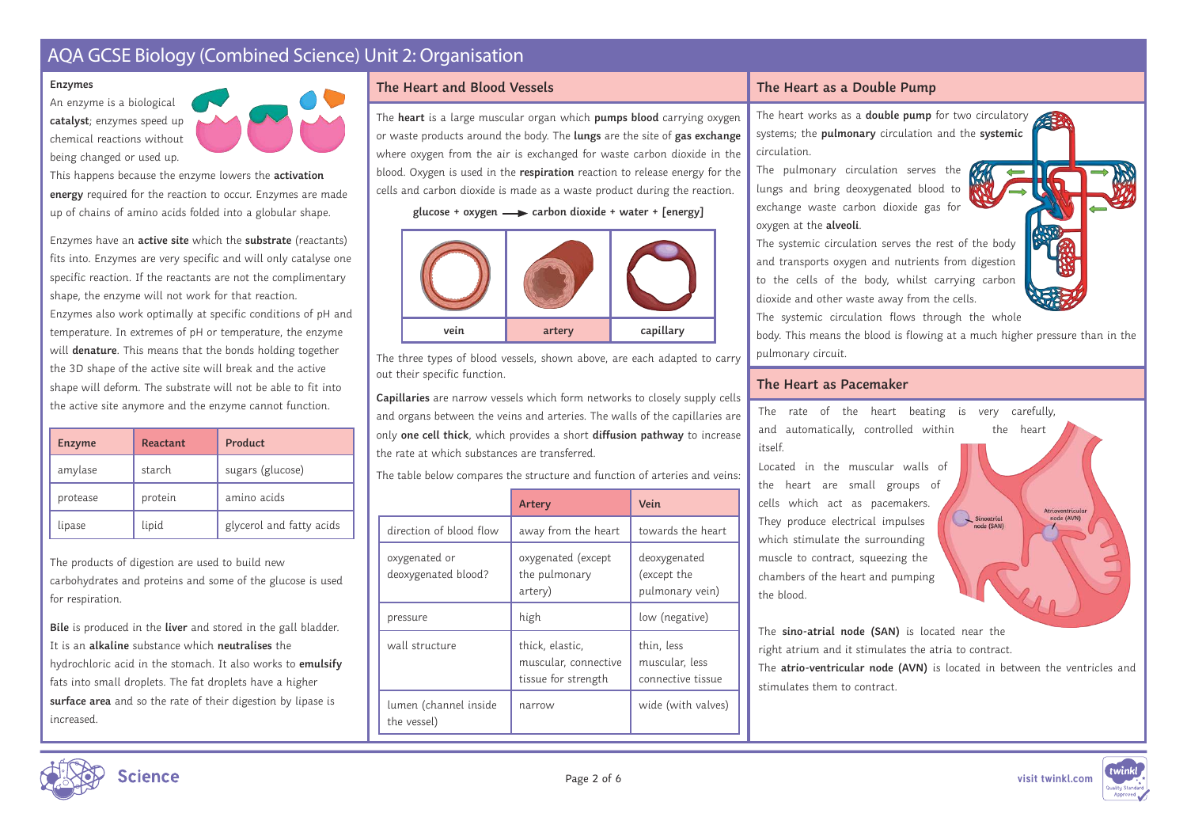#### **Enzymes**

An enzyme is a biological catalyst; enzymes speed up chemical reactions without being changed or used up.



This happens because the enzyme lowers the **activation energy** required for the reaction to occur. Enzymes are made up of chains of amino acids folded into a globular shape.

Enzymes have an **active site** which the **substrate** (reactants) fits into. Enzymes are very specific and will only catalyse one specific reaction. If the reactants are not the complimentary shape, the enzyme will not work for that reaction. Enzymes also work optimally at specific conditions of pH and temperature. In extremes of pH or temperature, the enzyme will **denature**. This means that the bonds holding together the 3D shape of the active site will break and the active shape will deform. The substrate will not be able to fit into the active site anymore and the enzyme cannot function.

| <b>Enzyme</b> | Reactant | Product                  |
|---------------|----------|--------------------------|
| amylase       | starch   | sugars (glucose)         |
| protease      | protein  | amino acids              |
| lipase        | lipid    | glycerol and fatty acids |

The products of digestion are used to build new carbohydrates and proteins and some of the glucose is used for respiration.

**Bile** is produced in the **liver** and stored in the gall bladder. It is an **alkaline** substance which **neutralises** the hydrochloric acid in the stomach. It also works to *emulsify* fats into small droplets. The fat droplets have a higher surface area and so the rate of their digestion by lipase is increased.

## **The Heart and Blood Vessels**

The **heart** is a large muscular organ which **pumps blood** carrying oxygen or waste products around the body. The **lungs** are the site of **gas exchange** where oxygen from the air is exchanged for waste carbon dioxide in the blood. Oxygen is used in the **respiration** reaction to release energy for the cells and carbon dioxide is made as a waste product during the reaction.

glucose + oxygen  $\longrightarrow$  carbon dioxide + water + [energy]



The three types of blood vessels, shown above, are each adapted to carry out their specific function.

**Capillaries** are narrow vessels which form networks to closely supply cells and organs between the veins and arteries. The walls of the capillaries are only **one cell thick**, which provides a short **diffusion pathway** to increase the rate at which substances are transferred.

The table below compares the structure and function of arteries and veins:

|                                      | Artery                                                         | Vein                                              |
|--------------------------------------|----------------------------------------------------------------|---------------------------------------------------|
| direction of blood flow              | away from the heart                                            | towards the heart                                 |
| oxygenated or<br>deoxygenated blood? | oxygenated (except<br>the pulmonary<br>artery)                 | deoxygenated<br>(except the<br>pulmonary vein)    |
| pressure                             | high                                                           | low (negative)                                    |
| wall structure                       | thick, elastic,<br>muscular, connective<br>tissue for strength | thin, less<br>muscular, less<br>connective tissue |
| lumen (channel inside<br>the vessel) | narrow                                                         | wide (with valves)                                |

## **The Heart as a Double Pump**

The heart works as a **double pump** for two circulatory systems; the **pulmonary** circulation and the **systemic** circulation.

The pulmonary circulation serves the lungs and bring deoxygenated blood to exchange waste carbon dioxide gas for oxygen at the **alveoli**.

The systemic circulation serves the rest of the body and transports oxygen and nutrients from digestion to the cells of the body, whilst carrying carbon dioxide and other waste away from the cells. The systemic circulation flows through the whole



## **The Heart as Pacemaker**

The rate of the heart beating is very carefully, and automatically, controlled within the heart itself.

Located in the muscular walls of the heart are small groups of cells which act as pacemakers. They produce electrical impulses which stimulate the surrounding muscle to contract, squeezing the chambers of the heart and pumping the blood.

The **sino-atrial node (SAN)** is located near the right atrium and it stimulates the atria to contract.

The **atrio-ventricular node (AVN)** is located in between the ventricles and stimulates them to contract

 $\sum$  Sinoatria

node (AVN)



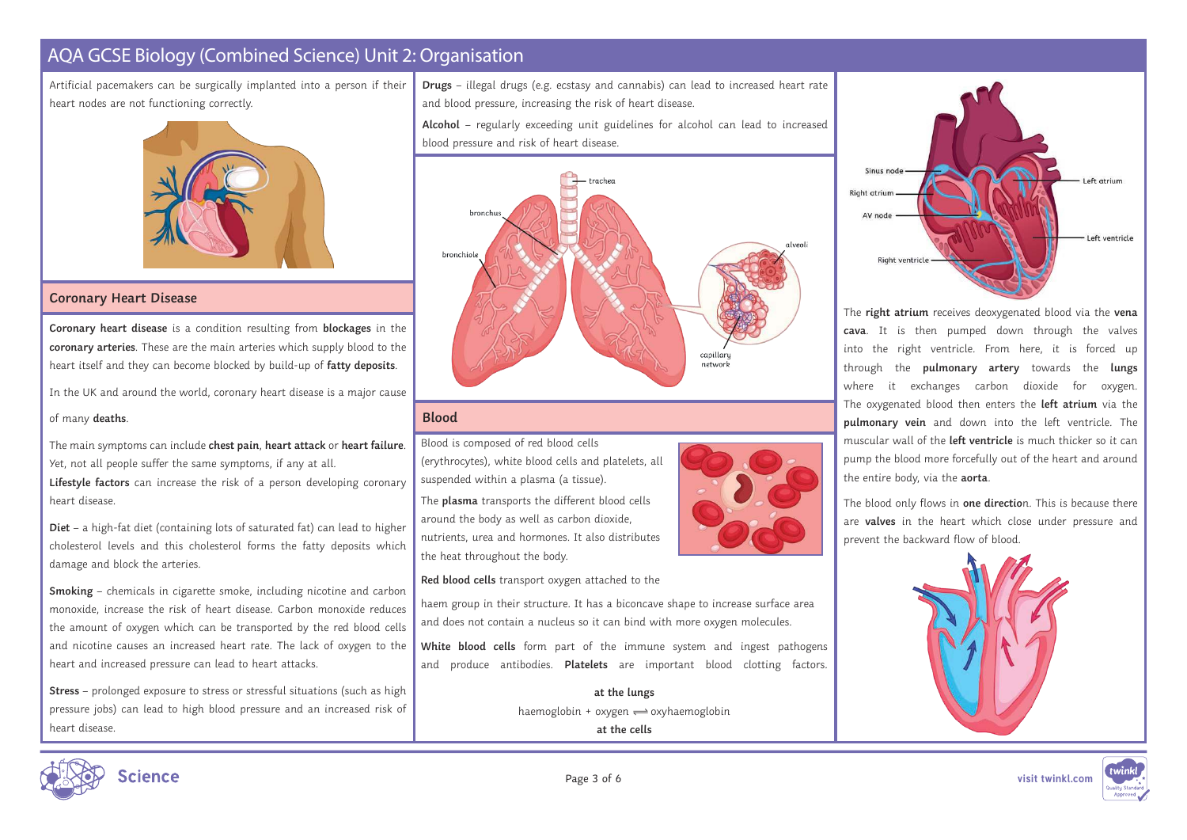Artificial pacemakers can be surgically implanted into a person if their heart nodes are not functioning correctly.



#### **Coronary Heart Disease**

**Coronary heart disease** is a condition resulting from **blockages** in the **coronary arteries**. These are the main arteries which supply blood to the heart itself and they can become blocked by build-up of **fatty deposits**.

In the UK and around the world, coronary heart disease is a major cause

#### of many deaths.

The main symptoms can include **chest pain**, **heart attack** or **heart failure**. Yet, not all people suffer the same symptoms, if any at all.

**Lifestyle factors** can increase the risk of a person developing coronary heart disease.

**Diet** – a high-fat diet (containing lots of saturated fat) can lead to higher cholesterol levels and this cholesterol forms the fatty deposits which damage and block the arteries.

**Smoking** – chemicals in cigarette smoke, including nicotine and carbon monoxide, increase the risk of heart disease. Carbon monoxide reduces the amount of oxygen which can be transported by the red blood cells and nicotine causes an increased heart rate. The lack of oxygen to the heart and increased pressure can lead to heart attacks.

**Stress** – prolonged exposure to stress or stressful situations (such as high pressure jobs) can lead to high blood pressure and an increased risk of heart disease.

**Drugs** – illegal drugs (e.g. ecstasy and cannabis) can lead to increased heart rate and blood pressure, increasing the risk of heart disease.

Alcohol – regularly exceeding unit guidelines for alcohol can lead to increased blood pressure and risk of heart disease.



## **Blood**

Blood is composed of red blood cells (erythrocytes), white blood cells and platelets, all suspended within a plasma (a tissue). The **plasma** transports the different blood cells

around the body as well as carbon dioxide, nutrients, urea and hormones. It also distributes the heat throughout the body.

**Red blood cells** transport oxygen attached to the

haem group in their structure. It has a biconcave shape to increase surface area and does not contain a nucleus so it can bind with more oxygen molecules.

**White blood cells** form part of the immune system and ingest pathogens and produce antibodies. **Platelets** are important blood clotting factors.

> **at the lungs** haemoglobin  $+$  oxygen  $\rightleftharpoons$  oxyhaemoglobin **at the cells**



The **right atrium** receives deoxygenated blood via the vena **cava**. It is then pumped down through the valves into the right ventricle. From here, it is forced up through the **pulmonary artery** towards the **lungs** where it exchanges carbon dioxide for oxygen. The oxygenated blood then enters the **left atrium** via the **pulmonary vein** and down into the left ventricle. The muscular wall of the **left ventricle** is much thicker so it can pump the blood more forcefully out of the heart and around the entire body, via the **aorta**.

The blood only flows in **one directio**n. This is because there are **valves** in the heart which close under pressure and prevent the backward flow of blood.





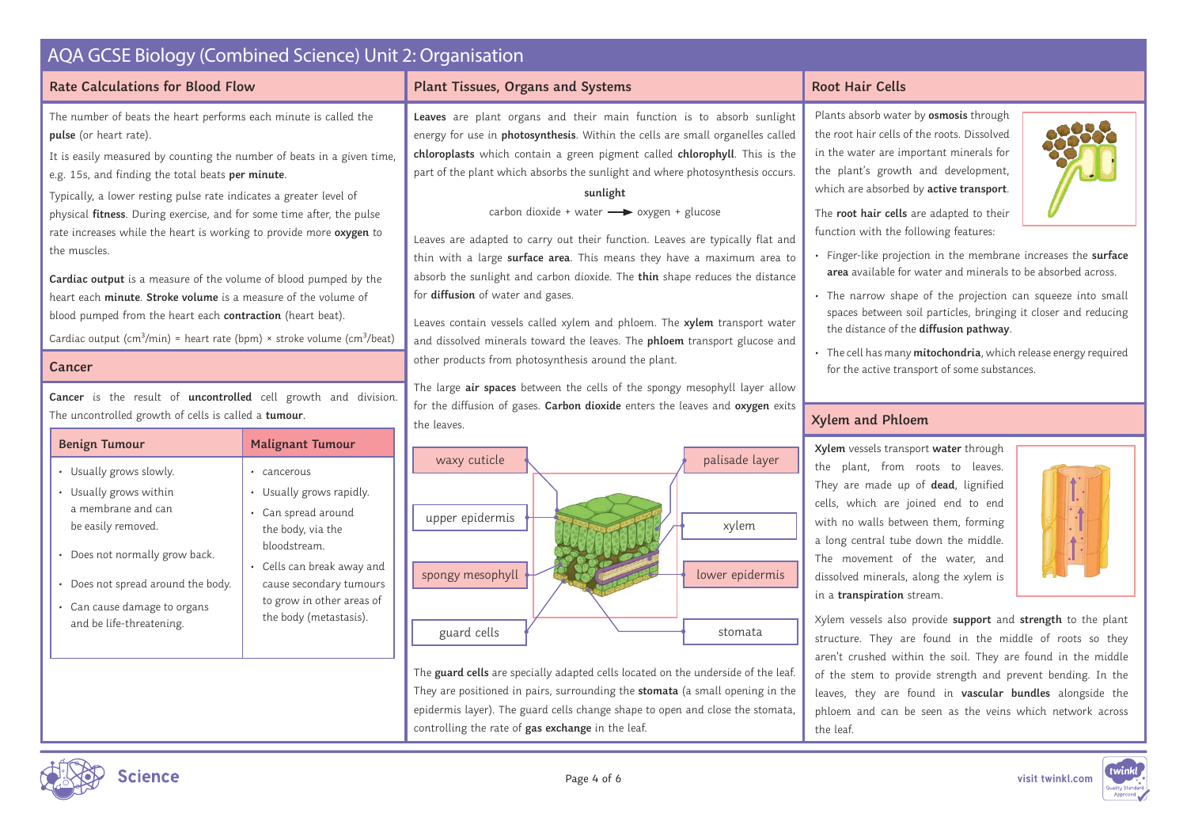| <b>AQA GCSE Biology (Combined Science) Unit 2: Organisation</b>                                                                                                                                                                                                                                                                                                                                                                                                                                                                                                                                                                                                                                                                                                                   |                                                                                                                                                                                                                                                |                                                                                                                                                                                                                                                                                                                                                                                                                                                                                                                                                                                                                                                                                                                                                                                                                                                                                                                                                                  |                                                                                                                                                                                                                                                                                                                                                                                                                                                                                                                                                                                                                                                                                                                                                                       |  |
|-----------------------------------------------------------------------------------------------------------------------------------------------------------------------------------------------------------------------------------------------------------------------------------------------------------------------------------------------------------------------------------------------------------------------------------------------------------------------------------------------------------------------------------------------------------------------------------------------------------------------------------------------------------------------------------------------------------------------------------------------------------------------------------|------------------------------------------------------------------------------------------------------------------------------------------------------------------------------------------------------------------------------------------------|------------------------------------------------------------------------------------------------------------------------------------------------------------------------------------------------------------------------------------------------------------------------------------------------------------------------------------------------------------------------------------------------------------------------------------------------------------------------------------------------------------------------------------------------------------------------------------------------------------------------------------------------------------------------------------------------------------------------------------------------------------------------------------------------------------------------------------------------------------------------------------------------------------------------------------------------------------------|-----------------------------------------------------------------------------------------------------------------------------------------------------------------------------------------------------------------------------------------------------------------------------------------------------------------------------------------------------------------------------------------------------------------------------------------------------------------------------------------------------------------------------------------------------------------------------------------------------------------------------------------------------------------------------------------------------------------------------------------------------------------------|--|
| <b>Rate Calculations for Blood Flow</b>                                                                                                                                                                                                                                                                                                                                                                                                                                                                                                                                                                                                                                                                                                                                           |                                                                                                                                                                                                                                                | Plant Tissues, Organs and Systems                                                                                                                                                                                                                                                                                                                                                                                                                                                                                                                                                                                                                                                                                                                                                                                                                                                                                                                                | <b>Root Hair Cells</b>                                                                                                                                                                                                                                                                                                                                                                                                                                                                                                                                                                                                                                                                                                                                                |  |
| The number of beats the heart performs each minute is called the<br>pulse (or heart rate).<br>It is easily measured by counting the number of beats in a given time,<br>e.g. 15s, and finding the total beats per minute.<br>Typically, a lower resting pulse rate indicates a greater level of<br>physical fitness. During exercise, and for some time after, the pulse<br>rate increases while the heart is working to provide more oxygen to<br>the muscles.<br>Cardiac output is a measure of the volume of blood pumped by the<br>heart each minute. Stroke volume is a measure of the volume of<br>blood pumped from the heart each contraction (heart beat).<br>Cardiac output (cm <sup>3</sup> /min) = heart rate (bpm) × stroke volume (cm <sup>3</sup> /beat)<br>Cancer |                                                                                                                                                                                                                                                | Leaves are plant organs and their main function is to absorb sunlight<br>energy for use in photosynthesis. Within the cells are small organelles called<br>chloroplasts which contain a green pigment called chlorophyll. This is the<br>part of the plant which absorbs the sunlight and where photosynthesis occurs.<br>sunlight<br>carbon dioxide + water -> oxygen + glucose<br>Leaves are adapted to carry out their function. Leaves are typically flat and<br>thin with a large surface area. This means they have a maximum area to<br>absorb the sunlight and carbon dioxide. The thin shape reduces the distance<br>for diffusion of water and gases.<br>Leaves contain vessels called xylem and phloem. The xylem transport water<br>and dissolved minerals toward the leaves. The phloem transport glucose and<br>other products from photosynthesis around the plant.<br>The large air spaces between the cells of the spongy mesophyll layer allow | Plants absorb water by osmosis through<br>the root hair cells of the roots. Dissolved<br>in the water are important minerals for<br>the plant's growth and development,<br>which are absorbed by active transport.<br>The root hair cells are adapted to their<br>function with the following features:<br>· Finger-like projection in the membrane increases the surface<br>area available for water and minerals to be absorbed across.<br>· The narrow shape of the projection can squeeze into small<br>spaces between soil particles, bringing it closer and reducing<br>the distance of the diffusion pathway.<br>· The cell has many mitochondria, which release energy required<br>for the active transport of some substances.                               |  |
| Cancer is the result of uncontrolled cell growth and division.<br>The uncontrolled growth of cells is called a tumour.                                                                                                                                                                                                                                                                                                                                                                                                                                                                                                                                                                                                                                                            |                                                                                                                                                                                                                                                | for the diffusion of gases. Carbon dioxide enters the leaves and oxygen exits<br>the leaves.                                                                                                                                                                                                                                                                                                                                                                                                                                                                                                                                                                                                                                                                                                                                                                                                                                                                     | <b>Xylem and Phloem</b>                                                                                                                                                                                                                                                                                                                                                                                                                                                                                                                                                                                                                                                                                                                                               |  |
| <b>Benign Tumour</b><br>• Usually grows slowly.<br>• Usually grows within<br>a membrane and can<br>be easily removed.<br>Does not normally grow back.<br>· Does not spread around the body.<br>Can cause damage to organs<br>and be life-threatening.                                                                                                                                                                                                                                                                                                                                                                                                                                                                                                                             | <b>Malignant Tumour</b><br>· cancerous<br>• Usually grows rapidly.<br>• Can spread around<br>the body, via the<br>bloodstream.<br>• Cells can break away and<br>cause secondary tumours<br>to grow in other areas of<br>the body (metastasis). | palisade layer<br>waxy cuticle<br>upper epidermis<br>xylem<br>lower epidermis<br>spongy mesophyll<br>guard cells<br>stomata<br>The guard cells are specially adapted cells located on the underside of the leaf.<br>They are positioned in pairs, surrounding the stomata (a small opening in the<br>epidermis layer). The guard cells change shape to open and close the stomata,<br>controlling the rate of gas exchange in the leaf.                                                                                                                                                                                                                                                                                                                                                                                                                                                                                                                          | Xylem vessels transport water through<br>the plant, from roots to leaves.<br>They are made up of dead, lignified<br>cells, which are joined end to end<br>$\dot{\mathbb{I}}$<br>with no walls between them, forming<br>a long central tube down the middle.<br>The movement of the water, and<br>dissolved minerals, along the xylem is<br>in a transpiration stream.<br>Xylem vessels also provide support and strength to the plant<br>structure. They are found in the middle of roots so they<br>aren't crushed within the soil. They are found in the middle<br>of the stem to provide strength and prevent bending. In the<br>leaves, they are found in vascular bundles alongside the<br>phloem and can be seen as the veins which network across<br>the leaf. |  |
| <b>Science</b>                                                                                                                                                                                                                                                                                                                                                                                                                                                                                                                                                                                                                                                                                                                                                                    |                                                                                                                                                                                                                                                | Page 4 of 6                                                                                                                                                                                                                                                                                                                                                                                                                                                                                                                                                                                                                                                                                                                                                                                                                                                                                                                                                      | twinkl<br>visit twinkl.com                                                                                                                                                                                                                                                                                                                                                                                                                                                                                                                                                                                                                                                                                                                                            |  |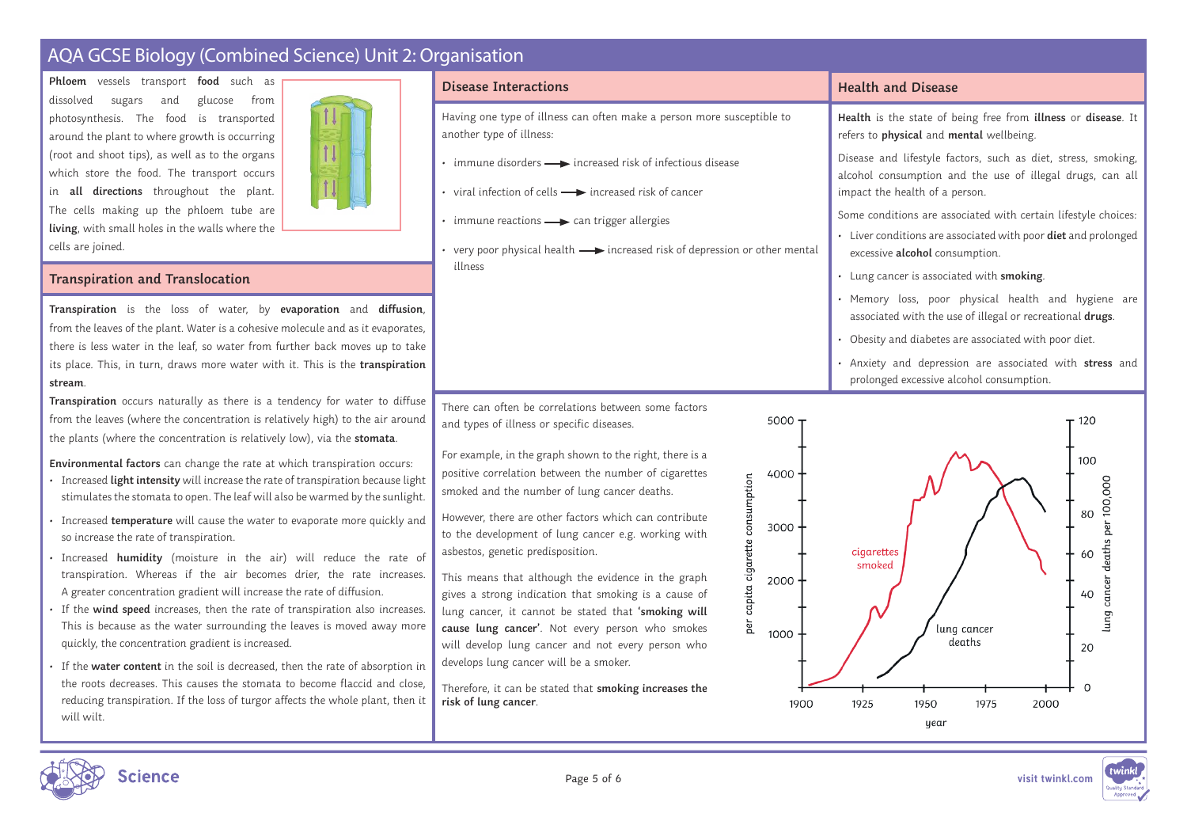**Phloem** vessels transport **food** such as dissolved sugars and glucose from photosynthesis. The food is transported around the plant to where growth is occurring (root and shoot tips), as well as to the organs which store the food. The transport occurs in **all directions** throughout the plant. The cells making up the phloem tube are **living**, with small holes in the walls where the cells are joined.



#### **Transpiration and Translocation**

**Transpiration** is the loss of water, by **evaporation** and **diffusion**, from the leaves of the plant. Water is a cohesive molecule and as it evaporates, there is less water in the leaf, so water from further back moves up to take its place. This, in turn, draws more water with it. This is the **transpiration stream**.

**Transpiration** occurs naturally as there is a tendency for water to diffuse from the leaves (where the concentration is relatively high) to the air around the plants (where the concentration is relatively low), via the **stomata**.

**Environmental factors** can change the rate at which transpiration occurs:

- Increased **light intensity** will increase the rate of transpiration because light stimulates the stomata to open. The leaf will also be warmed by the sunlight.
- Increased **temperature** will cause the water to evaporate more quickly and so increase the rate of transpiration.
- Increased **humidity** (moisture in the air) will reduce the rate of transpiration. Whereas if the air becomes drier, the rate increases. A greater concentration gradient will increase the rate of diffusion.
- If the wind speed increases, then the rate of transpiration also increases. This is because as the water surrounding the leaves is moved away more quickly, the concentration gradient is increased.
- If the water content in the soil is decreased, then the rate of absorption in the roots decreases. This causes the stomata to become flaccid and close, reducing transpiration. If the loss of turgor affects the whole plant, then it will wilt.

#### **Disease Interactions**

Having one type of illness can often make a person more susceptible to another type of illness:

 $\cdot$  immune disorders  $\longrightarrow$  increased risk of infectious disease

• viral infection of cells  $\longrightarrow$  increased risk of cancer

 $\cdot$  immune reactions  $\longrightarrow$  can trigger allergies

• very poor physical health  $\longrightarrow$  increased risk of depression or other mental illness 

There can often be correlations between some factors and types of illness or specific diseases.

For example, in the graph shown to the right, there is a positive correlation between the number of cigarettes smoked and the number of lung cancer deaths.

However, there are other factors which can contribute to the development of lung cancer e.g. working with asbestos, genetic predisposition.

This means that although the evidence in the graph gives a strong indication that smoking is a cause of lung cancer, it cannot be stated that 'smoking will cause lung cancer'. Not every person who smokes will develop lung cancer and not every person who develops lung cancer will be a smoker.

Therefore, it can be stated that **smoking increases the risk of lung cancer**.

### **Health and Disease**

Health is the state of being free from *illness* or disease. It refers to **physical** and **mental** wellbeing.

Disease and lifestyle factors, such as diet, stress, smoking, alcohol consumption and the use of illegal drugs, can all impact the health of a person.

Some conditions are associated with certain lifestyle choices:

- Liver conditions are associated with poor **diet** and prolonged excessive **alcohol** consumption.
- Lung cancer is associated with **smoking**.
- Memory loss, poor physical health and hygiene are associated with the use of illegal or recreational **drugs**.
- Obesity and diabetes are associated with poor diet.
- Anxiety and depression are associated with **stress** and prolonged excessive alcohol consumption.